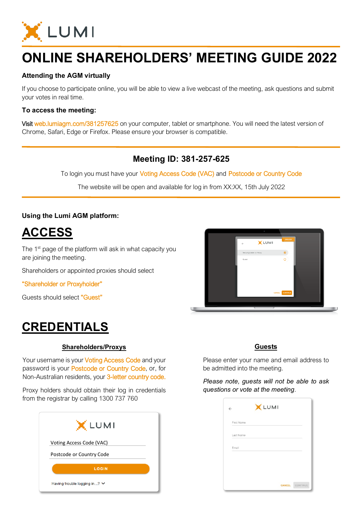

# **ONLINE SHAREHOLDERS' MEETING GUIDE 2022**

### **Attending the AGM virtually**

If you choose to participate online, you will be able to view a live webcast of the meeting, ask questions and submit your votes in real time.

### **To access the meeting:**

Visit web.lumiagm.com/381257625 on your computer, tablet or smartphone. You will need the latest version of Chrome, Safari, Edge or Firefox. Please ensure your browser is compatible.

### **Meeting ID: 381-257-625**

To login you must have your Voting Access Code (VAC) and Postcode or Country Code

The website will be open and available for log in from XX:XX, 15th July 2022

### **Using the Lumi AGM platform:**

**ACCESS**

The 1<sup>st</sup> page of the platform will ask in what capacity you are joining the meeting.

Shareholders or appointed proxies should select

"Shareholder or Proxyholder"

Guests should select "Guest"

## **CREDENTIALS**

#### **Shareholders/Proxys**

Your username is your Voting Access Code and your password is your Postcode or Country Code, or, for Non-Australian residents, your 3-letter country code.

 $\overline{a}$ Proxy holders should obtain their log in credentials from the registrar by calling 1300 737 760





#### **Guests**

Please enter your name and email address to be admitted into the meeting.

*Please note, guests will not be able to ask questions or vote at the meeting*.

| First Name |  |  |
|------------|--|--|
|            |  |  |
| Last Name  |  |  |
| Email      |  |  |
|            |  |  |
|            |  |  |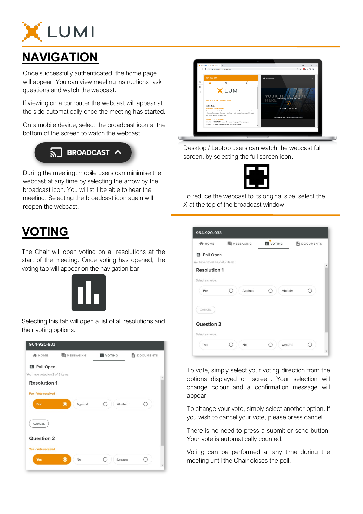

# **NAVIGATION**

Once successfully authenticated, the home page will appear. You can view meeting instructions, ask questions and watch the webcast.

If viewing on a computer the webcast will appear at the side automatically once the meeting has started.

On a mobile device, select the broadcast icon at the bottom of the screen to watch the webcast.

# $\sqrt{2}$  BROADCAST  $\sim$

During the meeting, mobile users can minimise the webcast at any time by selecting the arrow by the broadcast icon. You will still be able to hear the meeting. Selecting the broadcast icon again will reopen the webcast.

## **VOTING**

The Chair will open voting on all resolutions at the start of the meeting. Once voting has opened, the voting tab will appear on the navigation bar.



Selecting this tab will open a list of all resolutions and their voting options.





Desktop / Laptop users can watch the webcast full screen, by selecting the full screen icon.



To reduce the webcast to its original size, select the X at the top of the broadcast window.

| <b>A</b> HOME                  | <b>E</b> MESSAGING | <b>IL</b> VOTING | <b>DOCUMENTS</b> |
|--------------------------------|--------------------|------------------|------------------|
| <b>II</b> Poll Open            |                    |                  |                  |
| You have voted on 0 of 2 items |                    |                  |                  |
| <b>Resolution 1</b>            |                    |                  |                  |
| Select a choice.               |                    |                  |                  |
| For                            | Against            | Abstain          |                  |
| CANCEL                         |                    |                  |                  |
| Question 2                     |                    |                  |                  |
| Select a choice.               |                    |                  |                  |
|                                | No                 | Unsure           |                  |

To vote, simply select your voting direction from the options displayed on screen. Your selection will change colour and a confirmation message will appear.

To change your vote, simply select another option. If you wish to cancel your vote, please press cancel.

There is no need to press a submit or send button. Your vote is automatically counted.

Voting can be performed at any time during the meeting until the Chair closes the poll.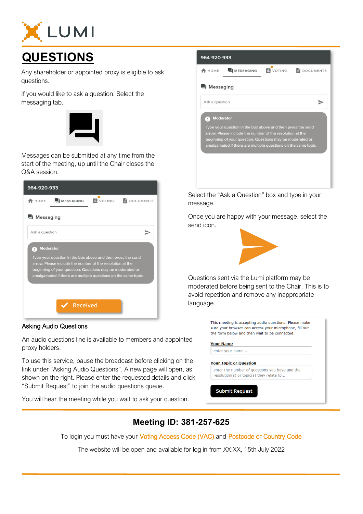

# **QUESTIONS**

Any shareholder or appointed proxy is eligible to ask questions.

If you would like to ask a question. Select the messaging tab.



Messages can be submitted at any time from the start of the meeting, up until the Chair closes the Q&A session.



#### Asking Audio Questions

An audio questions line is available to members and appointed proxy holders.

To use this service, pause the broadcast before clicking on the link under "Asking Audio Questions". A new page will open, as shown on the right. Please enter the requested details and click "Submit Request" to join the audio questions queue.

You will hear the meeting while you wait to ask your question.



Select the "Ask a Question" box and type in your message.

Once you are happy with your message, select the send icon.



Questions sent via the Lumi platform may be moderated before being sent to the Chair. This is to avoid repetition and remove any inappropriate

| <b>Your Name</b>                               |
|------------------------------------------------|
| enter your name                                |
|                                                |
| <b>Your Topic or Question</b>                  |
| enter the number of questions you have and the |
| resolution(s) or topic(s) they relate to       |

### **Meeting ID: 381-257-625**

To login you must have your Voting Access Code (VAC) and Postcode or Country Code

The website will be open and available for log in from XX:XX, 15th July 2022